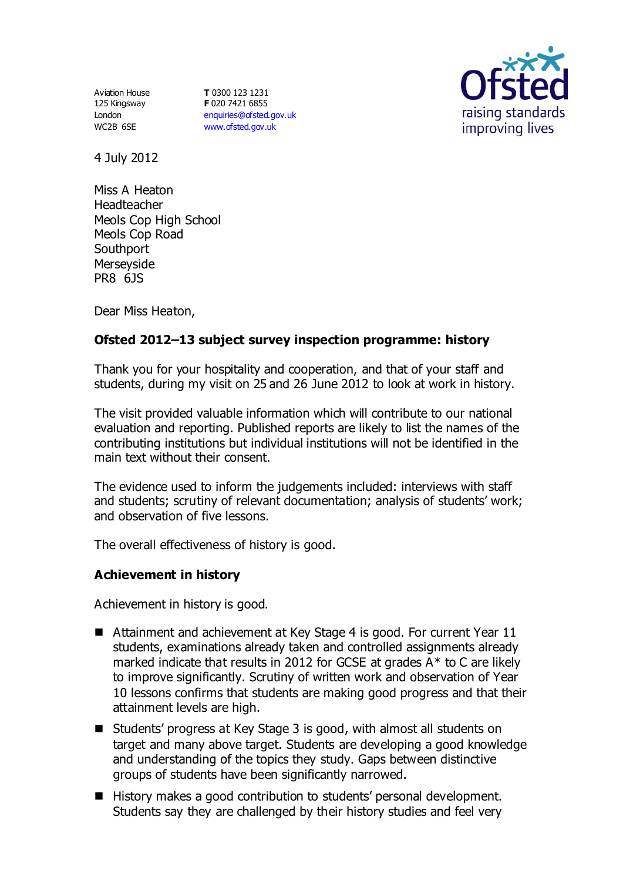Aviation House 125 Kingsway London WC2B 6SE

**T** 0300 123 1231 **F** 020 7421 6855 [enquiries@ofsted.gov.uk](mailto:enquiries@ofsted.gov.uk) [www.ofsted.gov.uk](http://www.ofsted.gov.uk/)



4 July 2012

Miss A Heaton Headteacher Meols Cop High School Meols Cop Road **Southport** Merseyside PR8 6JS

Dear Miss Heaton,

# **Ofsted 2012–13 subject survey inspection programme: history**

Thank you for your hospitality and cooperation, and that of your staff and students, during my visit on 25 and 26 June 2012 to look at work in history.

The visit provided valuable information which will contribute to our national evaluation and reporting. Published reports are likely to list the names of the contributing institutions but individual institutions will not be identified in the main text without their consent.

The evidence used to inform the judgements included: interviews with staff and students; scrutiny of relevant documentation; analysis of students' work; and observation of five lessons.

The overall effectiveness of history is good.

#### **Achievement in history**

Achievement in history is good.

- Attainment and achievement at Key Stage 4 is good. For current Year 11 students, examinations already taken and controlled assignments already marked indicate that results in 2012 for GCSE at grades  $A^*$  to C are likely to improve significantly. Scrutiny of written work and observation of Year 10 lessons confirms that students are making good progress and that their attainment levels are high.
- Students' progress at Key Stage 3 is good, with almost all students on target and many above target. Students are developing a good knowledge and understanding of the topics they study. Gaps between distinctive groups of students have been significantly narrowed.
- History makes a good contribution to students' personal development. Students say they are challenged by their history studies and feel very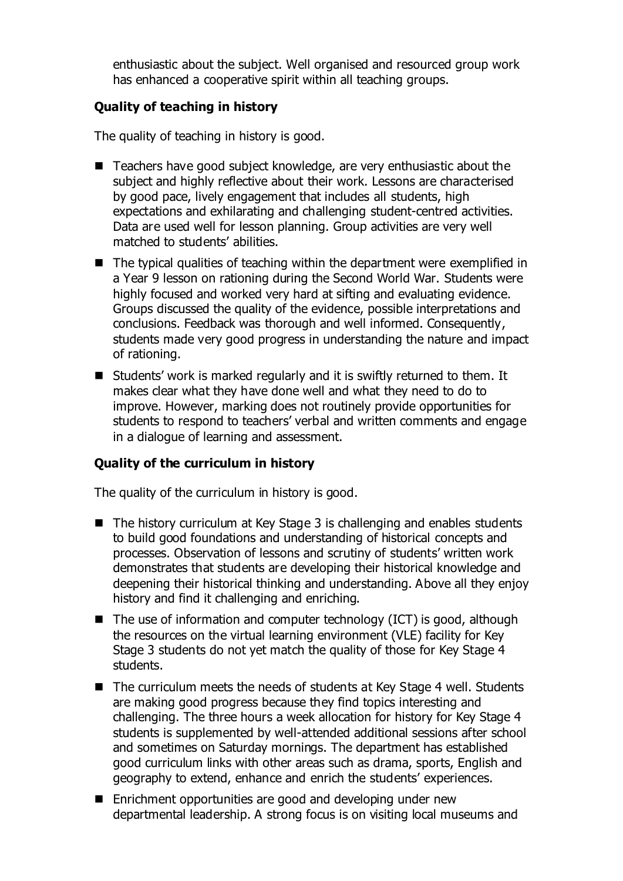enthusiastic about the subject. Well organised and resourced group work has enhanced a cooperative spirit within all teaching groups.

### **Quality of teaching in history**

The quality of teaching in history is good.

- Teachers have good subject knowledge, are very enthusiastic about the subject and highly reflective about their work. Lessons are characterised by good pace, lively engagement that includes all students, high expectations and exhilarating and challenging student-centred activities. Data are used well for lesson planning. Group activities are very well matched to students' abilities.
- The typical qualities of teaching within the department were exemplified in a Year 9 lesson on rationing during the Second World War. Students were highly focused and worked very hard at sifting and evaluating evidence. Groups discussed the quality of the evidence, possible interpretations and conclusions. Feedback was thorough and well informed. Consequently, students made very good progress in understanding the nature and impact of rationing.
- Students' work is marked regularly and it is swiftly returned to them. It makes clear what they have done well and what they need to do to improve. However, marking does not routinely provide opportunities for students to respond to teachers' verbal and written comments and engage in a dialogue of learning and assessment.

# **Quality of the curriculum in history**

The quality of the curriculum in history is good.

- The history curriculum at Key Stage 3 is challenging and enables students to build good foundations and understanding of historical concepts and processes. Observation of lessons and scrutiny of students' written work demonstrates that students are developing their historical knowledge and deepening their historical thinking and understanding. Above all they enjoy history and find it challenging and enriching.
- $\blacksquare$  The use of information and computer technology (ICT) is good, although the resources on the virtual learning environment (VLE) facility for Key Stage 3 students do not yet match the quality of those for Key Stage 4 students.
- The curriculum meets the needs of students at Key Stage 4 well. Students are making good progress because they find topics interesting and challenging. The three hours a week allocation for history for Key Stage 4 students is supplemented by well-attended additional sessions after school and sometimes on Saturday mornings. The department has established good curriculum links with other areas such as drama, sports, English and geography to extend, enhance and enrich the students' experiences.
- Enrichment opportunities are good and developing under new departmental leadership. A strong focus is on visiting local museums and